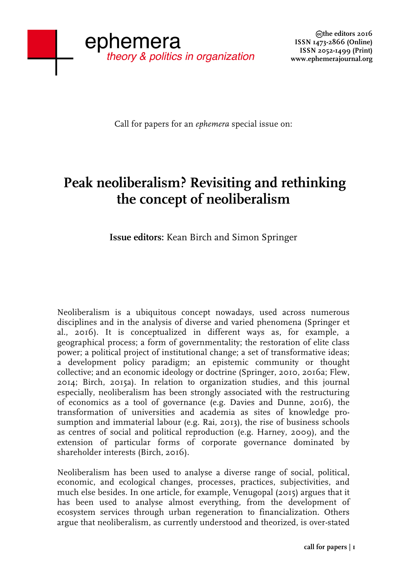Call for papers for an *ephemera* special issue on:

## **Peak neoliberalism? Revisiting and rethinking the concept of neoliberalism**

**Issue editors:** Kean Birch and Simon Springer

Neoliberalism is a ubiquitous concept nowadays, used across numerous disciplines and in the analysis of diverse and varied phenomena (Springer et al., 2016). It is conceptualized in different ways as, for example, a geographical process; a form of governmentality; the restoration of elite class power; a political project of institutional change; a set of transformative ideas; a development policy paradigm; an epistemic community or thought collective; and an economic ideology or doctrine (Springer, 2010, 2016a; Flew, 2014; Birch, 2015a). In relation to organization studies, and this journal especially, neoliberalism has been strongly associated with the restructuring of economics as a tool of governance (e.g. Davies and Dunne, 2016), the transformation of universities and academia as sites of knowledge prosumption and immaterial labour (e.g. Rai, 2013), the rise of business schools as centres of social and political reproduction (e.g. Harney, 2009), and the extension of particular forms of corporate governance dominated by shareholder interests (Birch, 2016).

Neoliberalism has been used to analyse a diverse range of social, political, economic, and ecological changes, processes, practices, subjectivities, and much else besides. In one article, for example, Venugopal (2015) argues that it has been used to analyse almost everything, from the development of ecosystem services through urban regeneration to financialization. Others argue that neoliberalism, as currently understood and theorized, is over-stated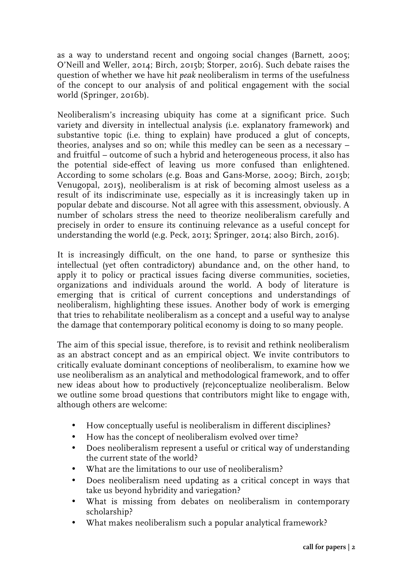as a way to understand recent and ongoing social changes (Barnett, 2005; O'Neill and Weller, 2014; Birch, 2015b; Storper, 2016). Such debate raises the question of whether we have hit *peak* neoliberalism in terms of the usefulness of the concept to our analysis of and political engagement with the social world (Springer, 2016b).

Neoliberalism's increasing ubiquity has come at a significant price. Such variety and diversity in intellectual analysis (i.e. explanatory framework) and substantive topic (i.e. thing to explain) have produced a glut of concepts, theories, analyses and so on; while this medley can be seen as a necessary – and fruitful – outcome of such a hybrid and heterogeneous process, it also has the potential side-effect of leaving us more confused than enlightened. According to some scholars (e.g. Boas and Gans-Morse, 2009; Birch, 2015b; Venugopal, 2015), neoliberalism is at risk of becoming almost useless as a result of its indiscriminate use, especially as it is increasingly taken up in popular debate and discourse. Not all agree with this assessment, obviously. A number of scholars stress the need to theorize neoliberalism carefully and precisely in order to ensure its continuing relevance as a useful concept for understanding the world (e.g. Peck, 2013; Springer, 2014; also Birch, 2016).

It is increasingly difficult, on the one hand, to parse or synthesize this intellectual (yet often contradictory) abundance and, on the other hand, to apply it to policy or practical issues facing diverse communities, societies, organizations and individuals around the world. A body of literature is emerging that is critical of current conceptions and understandings of neoliberalism, highlighting these issues. Another body of work is emerging that tries to rehabilitate neoliberalism as a concept and a useful way to analyse the damage that contemporary political economy is doing to so many people.

The aim of this special issue, therefore, is to revisit and rethink neoliberalism as an abstract concept and as an empirical object. We invite contributors to critically evaluate dominant conceptions of neoliberalism, to examine how we use neoliberalism as an analytical and methodological framework, and to offer new ideas about how to productively (re)conceptualize neoliberalism. Below we outline some broad questions that contributors might like to engage with, although others are welcome:

- How conceptually useful is neoliberalism in different disciplines?
- How has the concept of neoliberalism evolved over time?
- Does neoliberalism represent a useful or critical way of understanding the current state of the world?
- What are the limitations to our use of neoliberalism?
- Does neoliberalism need updating as a critical concept in ways that take us beyond hybridity and variegation?
- What is missing from debates on neoliberalism in contemporary scholarship?
- What makes neoliberalism such a popular analytical framework?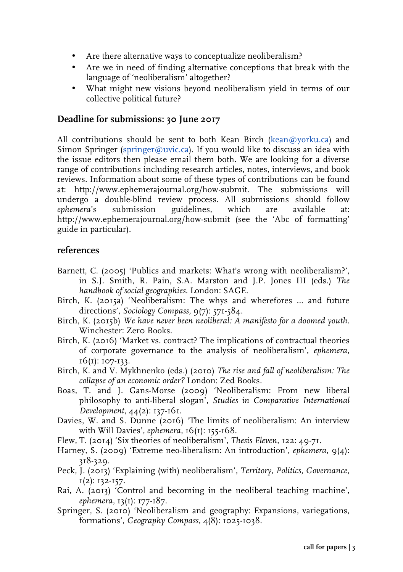- Are there alternative ways to conceptualize neoliberalism?
- Are we in need of finding alternative conceptions that break with the language of 'neoliberalism' altogether?
- What might new visions beyond neoliberalism yield in terms of our collective political future?

## **Deadline for submissions: 30 June 2017**

All contributions should be sent to both Kean Birch (kean@yorku.ca) and Simon Springer (springer@uvic.ca). If you would like to discuss an idea with the issue editors then please email them both. We are looking for a diverse range of contributions including research articles, notes, interviews, and book reviews. Information about some of these types of contributions can be found at: http://www.ephemerajournal.org/how-submit. The submissions will undergo a double-blind review process. All submissions should follow *ephemera*'s submission guidelines, which are available at: http://www.ephemerajournal.org/how-submit (see the 'Abc of formatting' guide in particular).

## **references**

- Barnett, C. (2005) 'Publics and markets: What's wrong with neoliberalism?', in S.J. Smith, R. Pain, S.A. Marston and J.P. Jones III (eds.) *The handbook of social geographies*. London: SAGE.
- Birch, K. (2015a) 'Neoliberalism: The whys and wherefores ... and future directions', *Sociology Compass*,  $9(7)$ : 571-584.
- Birch, K. (2015b) *We have never been neoliberal: A manifesto for a doomed youth*. Winchester: Zero Books.
- Birch, K. (2016) 'Market vs. contract? The implications of contractual theories of corporate governance to the analysis of neoliberalism', *ephemera*, 16(1): 107-133.
- Birch, K. and V. Mykhnenko (eds.) (2010) *The rise and fall of neoliberalism: The collapse of an economic order?* London: Zed Books.
- Boas, T. and J. Gans-Morse (2009) 'Neoliberalism: From new liberal philosophy to anti-liberal slogan', *Studies in Comparative International Development*, 44(2): 137-161.
- Davies, W. and S. Dunne (2016) 'The limits of neoliberalism: An interview with Will Davies', *ephemera*, 16(1): 155-168.
- Flew, T. (2014) 'Six theories of neoliberalism', *Thesis Eleven*, 122: 49-71.
- Harney, S. (2009) 'Extreme neo-liberalism: An introduction', *ephemera*, 9(4): 318-329.
- Peck, J. (2013) 'Explaining (with) neoliberalism', *Territory, Politics, Governance*,  $I(2)$ : 132-157.
- Rai, A. (2013) 'Control and becoming in the neoliberal teaching machine', *ephemera*, 13(1): 177-187.
- Springer, S. (2010) 'Neoliberalism and geography: Expansions, variegations, formations', *Geography Compass*, 4(8): 1025-1038.